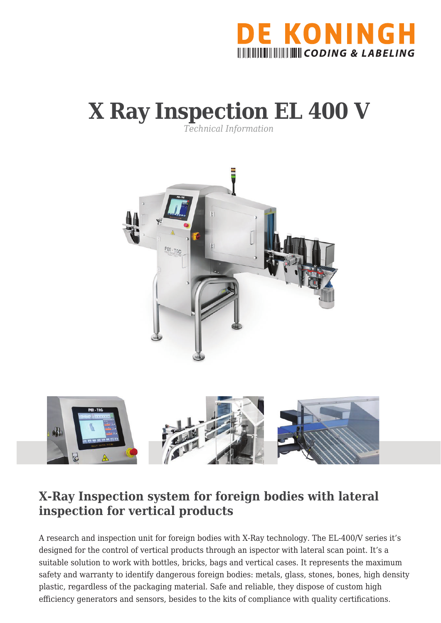

## **X Ray Inspection EL 400 V**

*Technical Information*



## **X-Ray Inspection system for foreign bodies with lateral inspection for vertical products**

A research and inspection unit for foreign bodies with X-Ray technology. The EL-400/V series it's designed for the control of vertical products through an ispector with lateral scan point. It's a suitable solution to work with bottles, bricks, bags and vertical cases. It represents the maximum safety and warranty to identify dangerous foreign bodies: metals, glass, stones, bones, high density plastic, regardless of the packaging material. Safe and reliable, they dispose of custom high efficiency generators and sensors, besides to the kits of compliance with quality certifications.